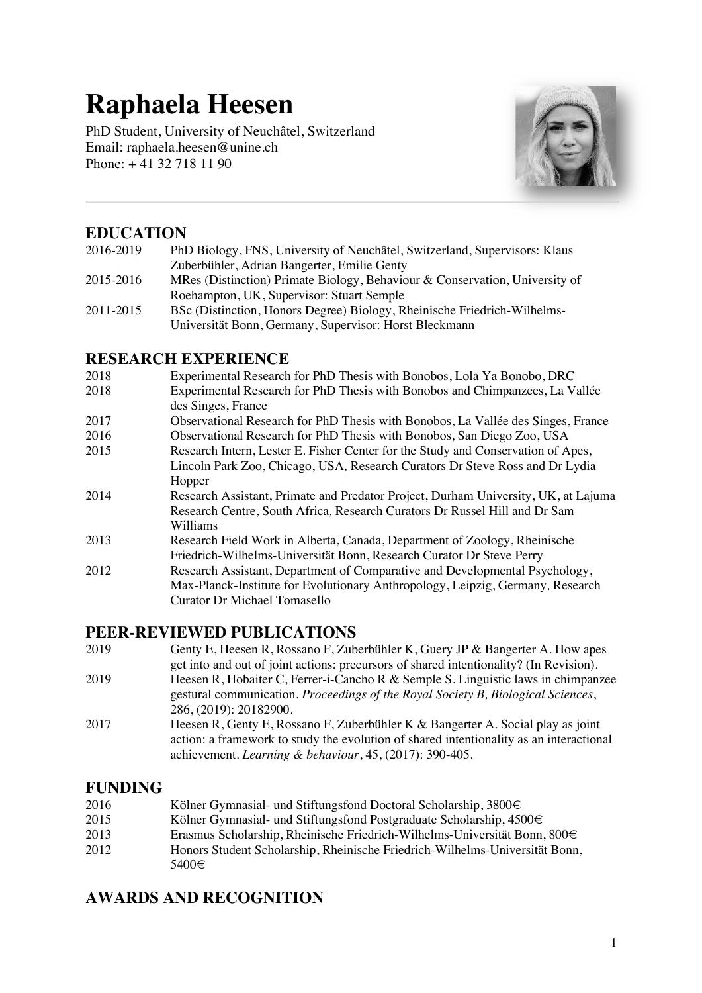# **Raphaela Heesen**

PhD Student, University of Neuchâtel, Switzerland Email: raphaela.heesen@unine.ch Phone:  $+41$  32 718 11 90



## **EDUCATION**

| 2016-2019 | PhD Biology, FNS, University of Neuchâtel, Switzerland, Supervisors: Klaus  |
|-----------|-----------------------------------------------------------------------------|
|           | Zuberbühler, Adrian Bangerter, Emilie Genty                                 |
| 2015-2016 | MRes (Distinction) Primate Biology, Behaviour & Conservation, University of |
|           | Roehampton, UK, Supervisor: Stuart Semple                                   |
| 2011-2015 | BSc (Distinction, Honors Degree) Biology, Rheinische Friedrich-Wilhelms-    |
|           | Universität Bonn, Germany, Supervisor: Horst Bleckmann                      |

## **RESEARCH EXPERIENCE**

- 2018 Experimental Research for PhD Thesis with Bonobos, Lola Ya Bonobo, DRC
- 2018 Experimental Research for PhD Thesis with Bonobos and Chimpanzees, La Vallée des Singes, France
- 2017 Observational Research for PhD Thesis with Bonobos, La Vallée des Singes, France
- 2016 Observational Research for PhD Thesis with Bonobos, San Diego Zoo, USA
- 2015 Research Intern, Lester E. Fisher Center for the Study and Conservation of Apes, Lincoln Park Zoo, Chicago, USA*,* Research Curators Dr Steve Ross and Dr Lydia Hopper
- 2014 Research Assistant, Primate and Predator Project, Durham University, UK, at Lajuma Research Centre, South Africa*,* Research Curators Dr Russel Hill and Dr Sam Williams
- 2013 Research Field Work in Alberta, Canada, Department of Zoology, Rheinische Friedrich-Wilhelms-Universität Bonn, Research Curator Dr Steve Perry
- 2012 Research Assistant, Department of Comparative and Developmental Psychology, Max-Planck-Institute for Evolutionary Anthropology, Leipzig, Germany*,* Research Curator Dr Michael Tomasello

## **PEER-REVIEWED PUBLICATIONS**

- 2019 Genty E, Heesen R, Rossano F, Zuberbühler K, Guery JP & Bangerter A. How apes get into and out of joint actions: precursors of shared intentionality? (In Revision). 2019 Heesen R, Hobaiter C, Ferrer-i-Cancho R & Semple S. Linguistic laws in chimpanzee gestural communication. *Proceedings of the Royal Society B, Biological Sciences*, 286, (2019): 20182900.
- 2017 Heesen R, Genty E, Rossano F, Zuberbühler K & Bangerter A. Social play as joint action: a framework to study the evolution of shared intentionality as an interactional achievement. *Learning & behaviour*, 45, (2017): 390-405.

## **FUNDING**

- 2016 Kölner Gymnasial- und Stiftungsfond Doctoral Scholarship, 3800€<br>2015 Kölner Gymnasial- und Stiftungsfond Postgraduate Scholarship. 45
- 2015 Kölner Gymnasial- und Stiftungsfond Postgraduate Scholarship, 4500€
- 2013 Erasmus Scholarship, Rheinische Friedrich-Wilhelms-Universität Bonn, 800€
- 2012 Honors Student Scholarship, Rheinische Friedrich-Wilhelms-Universität Bonn, 5400€

## **AWARDS AND RECOGNITION**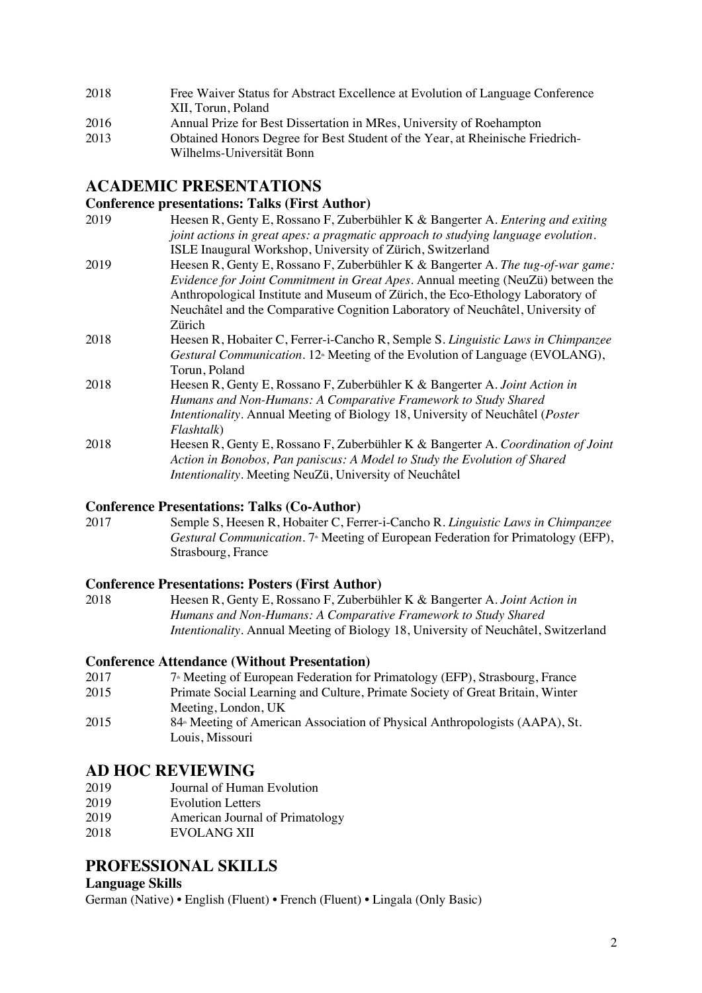| 2018 | Free Waiver Status for Abstract Excellence at Evolution of Language Conference |
|------|--------------------------------------------------------------------------------|
|      | XII. Torun. Poland                                                             |
| 2016 | Annual Prize for Best Dissertation in MRes, University of Roehampton           |
| 2013 | Obtained Honors Degree for Best Student of the Year, at Rheinische Friedrich-  |

Wilhelms-Universität Bonn

## **ACADEMIC PRESENTATIONS**

#### **Conference presentations: Talks (First Author)**

- 2019 Heesen R, Genty E, Rossano F, Zuberbühler K & Bangerter A. *Entering and exiting joint actions in great apes: a pragmatic approach to studying language evolution*. ISLE Inaugural Workshop, University of Zürich, Switzerland
- 2019 Heesen R, Genty E, Rossano F, Zuberbühler K & Bangerter A. *The tug-of-war game: Evidence for Joint Commitment in Great Apes*. Annual meeting (NeuZü) between the Anthropological Institute and Museum of Zürich, the Eco-Ethology Laboratory of Neuchâtel and the Comparative Cognition Laboratory of Neuchâtel, University of Zürich
- 2018 Heesen R, Hobaiter C, Ferrer-i-Cancho R, Semple S. *Linguistic Laws in Chimpanzee Gestural Communication*. 12<sup>th</sup> Meeting of the Evolution of Language (EVOLANG), Torun, Poland
- 2018 Heesen R, Genty E, Rossano F, Zuberbühler K & Bangerter A. *Joint Action in Humans and Non-Humans: A Comparative Framework to Study Shared Intentionality*. Annual Meeting of Biology 18, University of Neuchâtel (*Poster Flashtalk*) 2018 Heesen R, Genty E, Rossano F, Zuberbühler K & Bangerter A. *Coordination of Joint*
- *Action in Bonobos, Pan paniscus: A Model to Study the Evolution of Shared Intentionality*. Meeting NeuZü, University of Neuchâtel

## **Conference Presentations: Talks (Co-Author)**

2017 Semple S, Heesen R, Hobaiter C, Ferrer-i-Cancho R. *Linguistic Laws in Chimpanzee Gestural Communication*. 7<sup>th</sup> Meeting of European Federation for Primatology (EFP), Strasbourg, France

## **Conference Presentations: Posters (First Author)**

2018 Heesen R, Genty E, Rossano F, Zuberbühler K & Bangerter A. *Joint Action in Humans and Non-Humans: A Comparative Framework to Study Shared Intentionality*. Annual Meeting of Biology 18, University of Neuchâtel, Switzerland

## **Conference Attendance (Without Presentation)**

- 2017 7<sup>th</sup> Meeting of European Federation for Primatology (EFP), Strasbourg, France
- 2015 Primate Social Learning and Culture, Primate Society of Great Britain, Winter Meeting, London, UK
- 2015 84<sup>\*</sup> Meeting of American Association of Physical Anthropologists (AAPA), St. Louis, Missouri

## **AD HOC REVIEWING**

- 2019 Journal of Human Evolution
- 2019 Evolution Letters
- 2019 American Journal of Primatology
- 2018 EVOLANG XII

## **PROFESSIONAL SKILLS**

## **Language Skills**

German (Native) • English (Fluent) • French (Fluent) • Lingala (Only Basic)